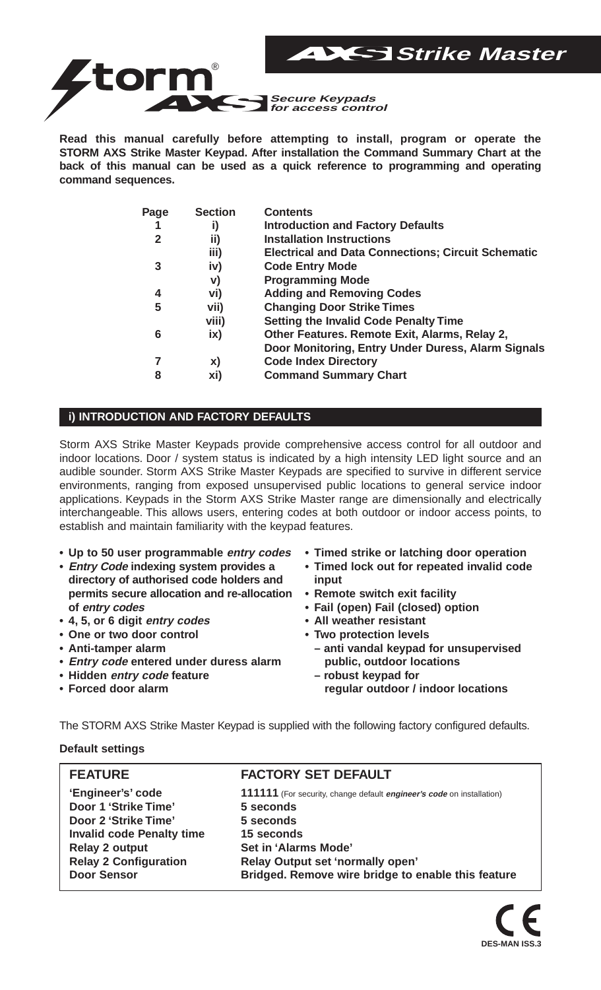

**Read this manual carefully before attempting to install, program or operate the STORM AXS Strike Master Keypad. After installation the Command Summary Chart at the back of this manual can be used as a quick reference to programming and operating command sequences.**

| Page | <b>Section</b> | <b>Contents</b>                                           |
|------|----------------|-----------------------------------------------------------|
| 1    | i)             | <b>Introduction and Factory Defaults</b>                  |
| 2    | ii)            | <b>Installation Instructions</b>                          |
|      | iii)           | <b>Electrical and Data Connections; Circuit Schematic</b> |
| 3    | iv)            | <b>Code Entry Mode</b>                                    |
|      | v)             | <b>Programming Mode</b>                                   |
| 4    | vi)            | <b>Adding and Removing Codes</b>                          |
| 5    | vii)           | <b>Changing Door Strike Times</b>                         |
|      | viii)          | Setting the Invalid Code Penalty Time                     |
| 6    | ix)            | Other Features. Remote Exit, Alarms, Relay 2,             |
|      |                | Door Monitoring, Entry Under Duress, Alarm Signals        |
| 7    | X)             | <b>Code Index Directory</b>                               |
| 8    | xi)            | <b>Command Summary Chart</b>                              |
|      |                |                                                           |

### **i) INTRODUCTION AND FACTORY DEFAULTS**

Storm AXS Strike Master Keypads provide comprehensive access control for all outdoor and indoor locations. Door / system status is indicated by a high intensity LED light source and an audible sounder. Storm AXS Strike Master Keypads are specified to survive in different service environments, ranging from exposed unsupervised public locations to general service indoor applications. Keypads in the Storm AXS Strike Master range are dimensionally and electrically interchangeable. This allows users, entering codes at both outdoor or indoor access points, to establish and maintain familiarity with the keypad features.

- 
- **• Entry Code indexing system provides a directory of authorised code holders and permits secure allocation and re-allocation • Remote switch exit facility of entry codes**
- **4, 5, or 6 digit entry codes**
- **One or two door control**
- **Anti-tamper alarm**
- **• Entry code entered under duress alarm**
- **Hidden entry code feature**
- **Forced door alarm**
- **Up to 50 user programmable entry codes Timed strike or latching door operation**
	- **Timed lock out for repeated invalid code input**
	-
	- **Fail (open) Fail (closed) option**
	- **All weather resistant**
	- **Two protection levels**
		- **anti vandal keypad for unsupervised public, outdoor locations**
		- **robust keypad for regular outdoor / indoor locations**

The STORM AXS Strike Master Keypad is supplied with the following factory configured defaults.

### **Default settings**

| <b>FEATURE</b>               | <b>FACTORY SET DEFAULT</b>                                                   |
|------------------------------|------------------------------------------------------------------------------|
| 'Engineer's' code            | 111111 (For security, change default <i>engineer's code</i> on installation) |
| Door 1 'Strike Time'         | 5 seconds                                                                    |
| Door 2 'Strike Time'         | 5 seconds                                                                    |
| Invalid code Penalty time    | 15 seconds                                                                   |
| Relay 2 output               | Set in 'Alarms Mode'                                                         |
| <b>Relay 2 Configuration</b> | Relay Output set 'normally open'                                             |
| Door Sensor                  | Bridged. Remove wire bridge to enable this feature                           |

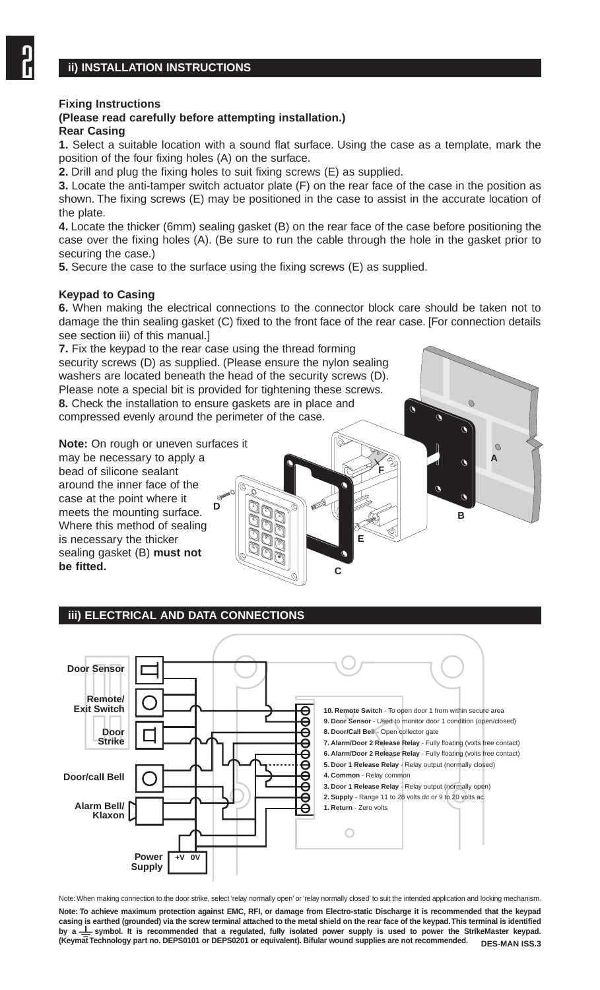#### **Fixing Instructions**

### **(Please read carefully before attempting installation.) Rear Casing**

**1.** Select a suitable location with a sound flat surface. Using the case as a template, mark the position of the four fixing holes (A) on the surface.

**2.** Drill and plug the fixing holes to suit fixing screws (E) as supplied.

**3.** Locate the anti-tamper switch actuator plate (F) on the rear face of the case in the position as shown. The fixing screws (E) may be positioned in the case to assist in the accurate location of the plate.

**4.** Locate the thicker (6mm) sealing gasket (B) on the rear face of the case before positioning the case over the fixing holes (A). (Be sure to run the cable through the hole in the gasket prior to securing the case.)

**5.** Secure the case to the surface using the fixing screws (E) as supplied.

#### **Keypad to Casing**

**6.** When making the electrical connections to the connector block care should be taken not to damage the thin sealing gasket (C) fixed to the front face of the rear case. [For connection details see section iii) of this manual.]

**A**

 $\mathbb{C}$ 

**B**

 $\mathfrak{a}$ 

 $\circ$ 

 $\alpha$ 

 $\sigma$ 

**7.** Fix the keypad to the rear case using the thread forming security screws (D) as supplied. (Please ensure the nylon sealing washers are located beneath the head of the security screws (D). Please note a special bit is provided for tightening these screws. **8.** Check the installation to ensure gaskets are in place and compressed evenly around the perimeter of the case.

> 1 3 ก  $26$ r ាក 0

**Note:** On rough or uneven surfaces it may be necessary to apply a bead of silicone sealant around the inner face of the case at the point where it meets the mounting surface. Where this method of sealing is necessary the thicker sealing gasket (B) **must not be fitted. D**

# **iii) ELECTRICAL AND DATA CONNECTIONS**



**C**

**E**

**F**

 $\alpha$ 

Note: When making connection to the door strike, select 'relay normally open' or 'relay normally closed' to suit the intended application and locking mechanism. **Note: To achieve maximum protection against EMC, RFI, or damage from Electro-static Discharge it is recommended that the keypad casing is earthed (grounded) via the screw terminal attached to the metal shield on the rear face of the keypad.This terminal is identified** by a  $\perp$  symbol. It is recommended that a regulated, fully isolated power supply is used to power the StrikeMaster keypad. **(Keymat Technology part no. DEPS0101 or DEPS0201 or equivalent). Bifular wound supplies are not recommended. DES-MAN ISS.3**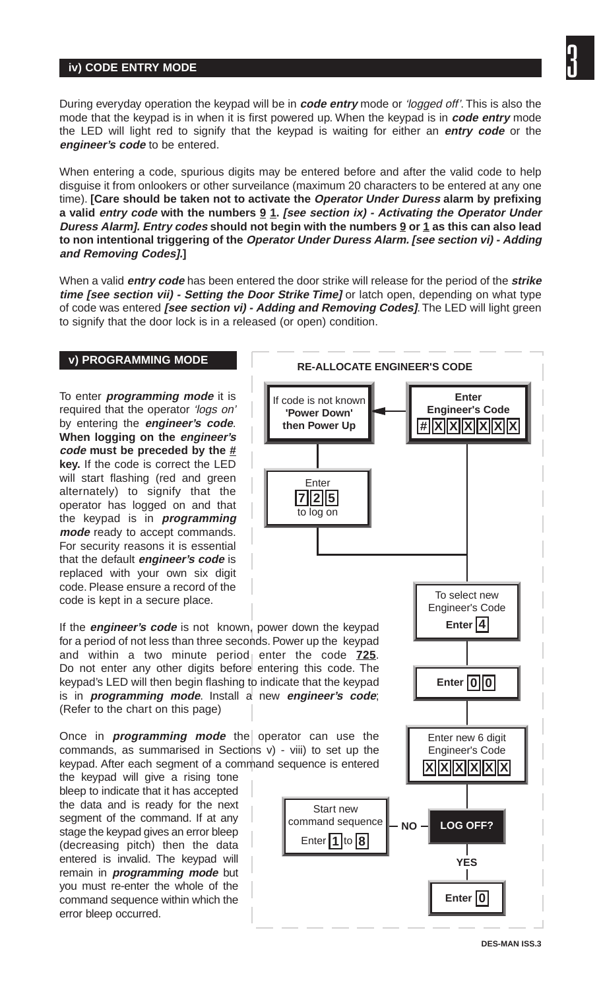# **iv) CODE ENTRY MODE**



During everyday operation the keypad will be in **code entry** mode or 'logged off'. This is also the mode that the keypad is in when it is first powered up. When the keypad is in **code entry** mode the LED will light red to signify that the keypad is waiting for either an **entry code** or the **engineer's code** to be entered.

When entering a code, spurious digits may be entered before and after the valid code to help disguise it from onlookers or other surveilance (maximum 20 characters to be entered at any one time). **[Care should be taken not to activate the Operator Under Duress alarm by prefixing a valid entry code with the numbers 9 1. [see section ix) - Activating the Operator Under Duress Alarm]. Entry codes should not begin with the numbers 9 or 1 as this can also lead to non intentional triggering of the Operator Under Duress Alarm. [see section vi) - Adding and Removing Codes].]**

When a valid **entry code** has been entered the door strike will release for the period of the **strike time [see section vii) - Setting the Door Strike Time]** or latch open, depending on what type of code was entered **[see section vi) - Adding and Removing Codes]**. The LED will light green to signify that the door lock is in a released (or open) condition.

#### **v) PROGRAMMING MODE**

To enter **programming mode** it is required that the operator 'logs on' by entering the **engineer's code**. **When logging on the engineer's code must be preceded by the # key.** If the code is correct the LED will start flashing (red and green alternately) to signify that the operator has logged on and that the keypad is in **programming mode** ready to accept commands. For security reasons it is essential that the default **engineer's code** is replaced with your own six digit code. Please ensure a record of the code is kept in a secure place.



If the **engineer's code** is not known, power down the keypad for a period of not less than three seconds. Power up the keypad and within a two minute period enter the code **725**. Do not enter any other digits before entering this code. The keypad's LED will then begin flashing to indicate that the keypad is in **programming mode**. Install a new **engineer's code**; (Refer to the chart on this page)

Once in **programming mode** the operator can use the commands, as summarised in Sections v) - viii) to set up the keypad. After each segment of a command sequence is entered

the keypad will give a rising tone bleep to indicate that it has accepted the data and is ready for the next segment of the command. If at any stage the keypad gives an error bleep (decreasing pitch) then the data entered is invalid. The keypad will remain in **programming mode** but you must re-enter the whole of the command sequence within which the error bleep occurred.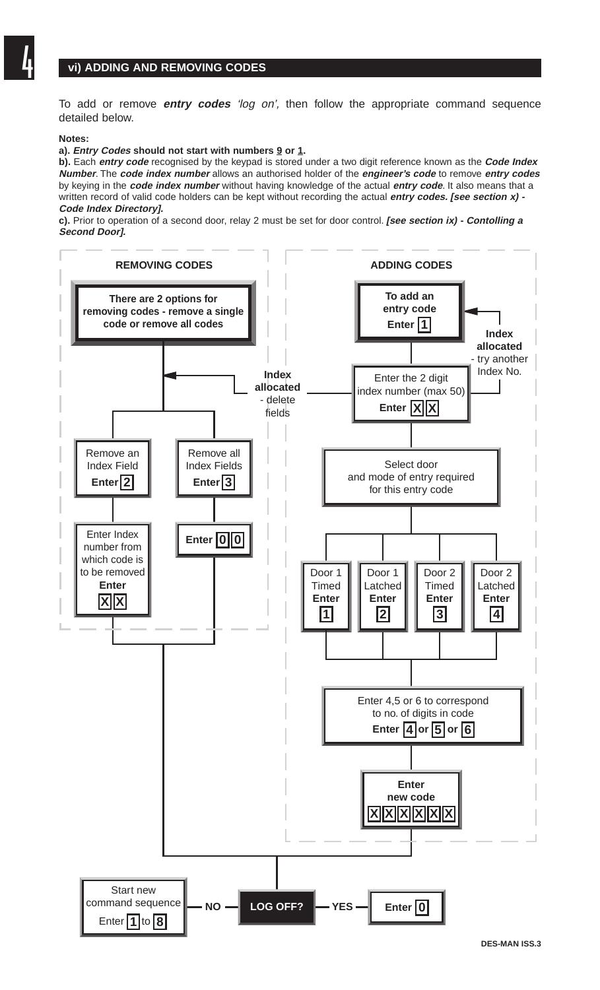# **vi) ADDING AND REMOVING CODES**

To add or remove **entry codes** 'log on', then follow the appropriate command sequence detailed below.

#### **Notes:**

**a). Entry Codes should not start with numbers 9 or 1.**

**b).** Each **entry code** recognised by the keypad is stored under a two digit reference known as the **Code Index Number**. The **code index number** allows an authorised holder of the **engineer's code** to remove **entry codes** by keying in the **code index number** without having knowledge of the actual **entry code**. It also means that a written record of valid code holders can be kept without recording the actual **entry codes. [see section x) - Code Index Directory].**

**c).** Prior to operation of a second door, relay 2 must be set for door control. **[see section ix) - Contolling a Second Door].**

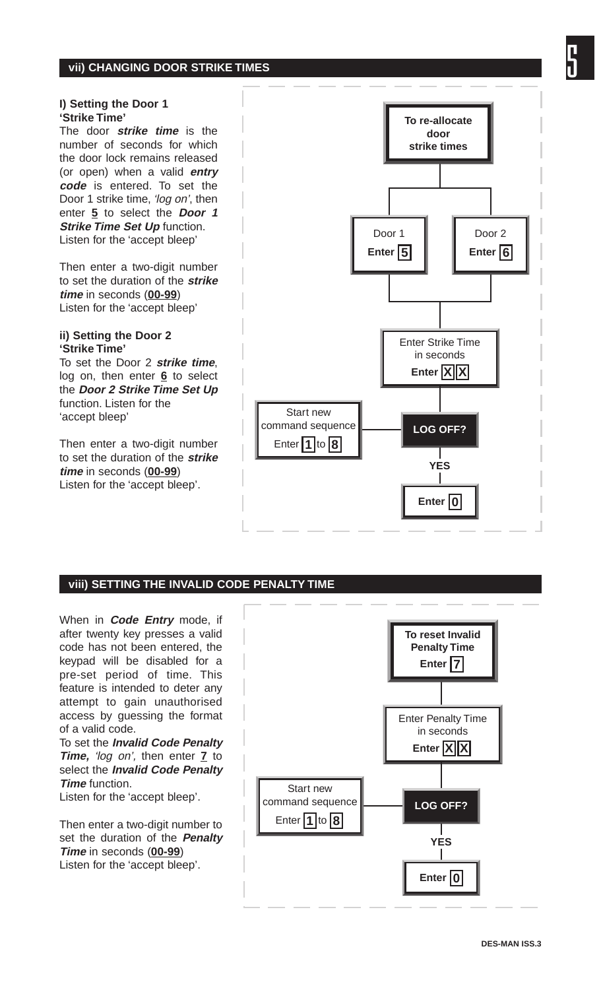#### **DES-MAN ISS.3**

### **vii) CHANGING DOOR STRIKE TIMES**

#### **I) Setting the Door 1 'Strike Time'**

The door **strike time** is the number of seconds for which the door lock remains released (or open) when a valid **entry code** is entered. To set the Door 1 strike time, 'log on', then enter **5** to select the **Door 1 Strike Time Set Up** function. Listen for the 'accept bleep'

Then enter a two-digit number to set the duration of the **strike time** in seconds (**00-99**) Listen for the 'accept bleep'

#### **ii) Setting the Door 2 'Strike Time'**

To set the Door 2 **strike time**, log on, then enter **6** to select the **Door 2 Strike Time Set Up** function. Listen for the 'accept bleep'

Then enter a two-digit number to set the duration of the **strike time** in seconds (**00-99**) Listen for the 'accept bleep'.



#### **viii) SETTING THE INVALID CODE PENALTY TIME**

When in **Code Entry** mode, if after twenty key presses a valid code has not been entered, the keypad will be disabled for a pre-set period of time. This feature is intended to deter any attempt to gain unauthorised access by guessing the format of a valid code.

To set the **Invalid Code Penalty Time,** 'log on', then enter **7** to select the **Invalid Code Penalty Time** function.

Listen for the 'accept bleep'.

Then enter a two-digit number to set the duration of the **Penalty Time** in seconds (**00-99**) Listen for the 'accept bleep'.

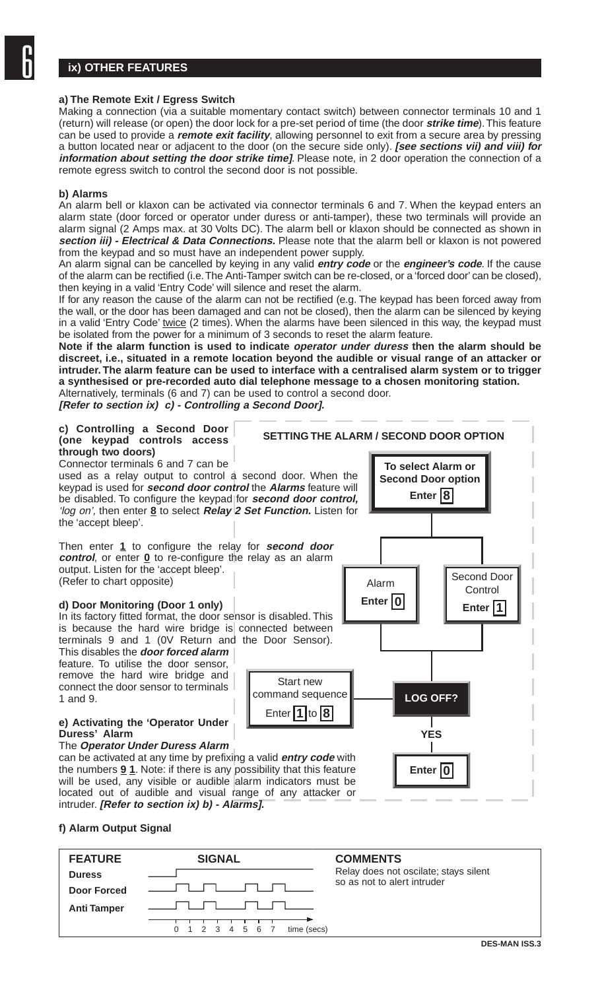# **ix) OTHER FEATURES**

#### **a) The Remote Exit / Egress Switch**

Making a connection (via a suitable momentary contact switch) between connector terminals 10 and 1 (return) will release (or open) the door lock for a pre-set period of time (the door **strike time**).This feature can be used to provide a **remote exit facility**, allowing personnel to exit from a secure area by pressing a button located near or adjacent to the door (on the secure side only). **[see sections vii) and viii) for information about setting the door strike time]**. Please note, in 2 door operation the connection of a remote egress switch to control the second door is not possible.

#### **b) Alarms**

An alarm bell or klaxon can be activated via connector terminals 6 and 7. When the keypad enters an alarm state (door forced or operator under duress or anti-tamper), these two terminals will provide an alarm signal (2 Amps max. at 30 Volts DC). The alarm bell or klaxon should be connected as shown in **section iii) - Electrical & Data Connections.** Please note that the alarm bell or klaxon is not powered from the keypad and so must have an independent power supply.

An alarm signal can be cancelled by keying in any valid **entry code** or the **engineer's code**. If the cause of the alarm can be rectified (i.e.The Anti-Tamper switch can be re-closed, or a 'forced door' can be closed), then keying in a valid 'Entry Code' will silence and reset the alarm.

If for any reason the cause of the alarm can not be rectified (e.g. The keypad has been forced away from the wall, or the door has been damaged and can not be closed), then the alarm can be silenced by keying in a valid 'Entry Code' twice (2 times). When the alarms have been silenced in this way, the keypad must be isolated from the power for a minimum of 3 seconds to reset the alarm feature.

**Note if the alarm function is used to indicate operator under duress then the alarm should be discreet, i.e., situated in a remote location beyond the audible or visual range of an attacker or intruder. The alarm feature can be used to interface with a centralised alarm system or to trigger a synthesised or pre-recorded auto dial telephone message to a chosen monitoring station.** Alternatively, terminals (6 and 7) can be used to control a second door.

**[Refer to section ix) c) - Controlling a Second Door].**



### **f) Alarm Output Signal**

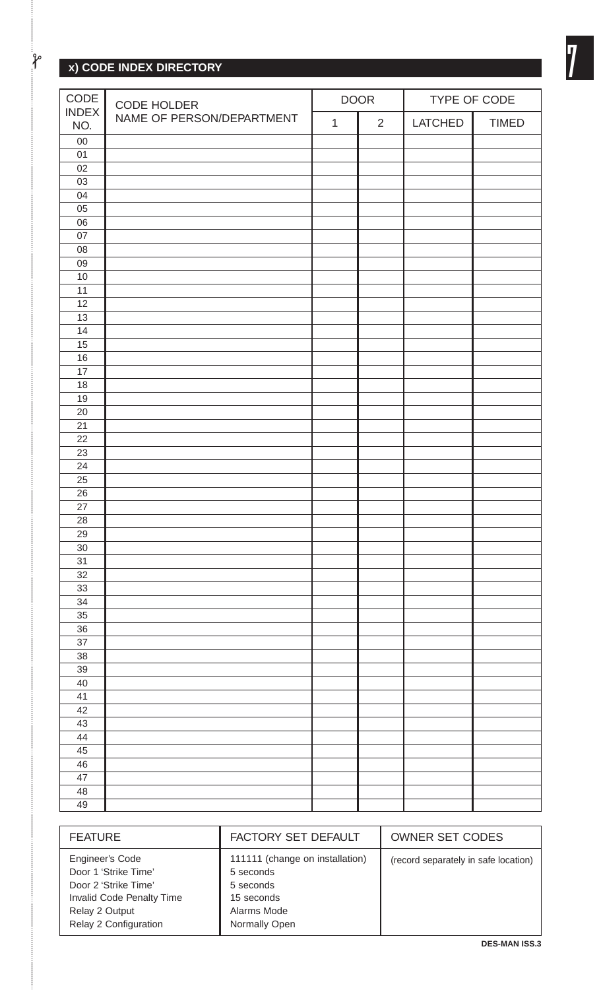# **x) CODE INDEX DIRECTORY**

✁

| CODE                | CODE HOLDER               | <b>DOOR</b>    |                | TYPE OF CODE |              |
|---------------------|---------------------------|----------------|----------------|--------------|--------------|
| <b>INDEX</b><br>NO. | NAME OF PERSON/DEPARTMENT | $\overline{1}$ | $\overline{2}$ | LATCHED      | <b>TIMED</b> |
| 00                  |                           |                |                |              |              |
| 01                  |                           |                |                |              |              |
| 02                  |                           |                |                |              |              |
| 03                  |                           |                |                |              |              |
| 04                  |                           |                |                |              |              |
| 05                  |                           |                |                |              |              |
| 06                  |                           |                |                |              |              |
| 07                  |                           |                |                |              |              |
| 08                  |                           |                |                |              |              |
| 09                  |                           |                |                |              |              |
| 10                  |                           |                |                |              |              |
| 11                  |                           |                |                |              |              |
| 12                  |                           |                |                |              |              |
| 13                  |                           |                |                |              |              |
| 14                  |                           |                |                |              |              |
| 15                  |                           |                |                |              |              |
| 16                  |                           |                |                |              |              |
| $\overline{17}$     |                           |                |                |              |              |
| 18                  |                           |                |                |              |              |
| 19                  |                           |                |                |              |              |
| $\overline{20}$     |                           |                |                |              |              |
| 21                  |                           |                |                |              |              |
| 22                  |                           |                |                |              |              |
| 23                  |                           |                |                |              |              |
| 24                  |                           |                |                |              |              |
| 25                  |                           |                |                |              |              |
| 26                  |                           |                |                |              |              |
| $\overline{27}$     |                           |                |                |              |              |
| 28                  |                           |                |                |              |              |
| 29                  |                           |                |                |              |              |
| 30                  |                           |                |                |              |              |
| 31                  |                           |                |                |              |              |
| 32                  |                           |                |                |              |              |
| 33                  |                           |                |                |              |              |
| $\overline{34}$     |                           |                |                |              |              |
| 35                  |                           |                |                |              |              |
| 36                  |                           |                |                |              |              |
| 37                  |                           |                |                |              |              |
| 38                  |                           |                |                |              |              |
| 39                  |                           |                |                |              |              |
| 40                  |                           |                |                |              |              |
| 41                  |                           |                |                |              |              |
| 42                  |                           |                |                |              |              |
| 43                  |                           |                |                |              |              |
| 44                  |                           |                |                |              |              |
| 45                  |                           |                |                |              |              |
| 46                  |                           |                |                |              |              |
| 47                  |                           |                |                |              |              |
| 48                  |                           |                |                |              |              |
| 49                  |                           |                |                |              |              |

| <b>FEATURE</b>                                                                                                                                 | FACTORY SET DEFAULT                                                                                     | <b>OWNER SET CODES</b>               |
|------------------------------------------------------------------------------------------------------------------------------------------------|---------------------------------------------------------------------------------------------------------|--------------------------------------|
| <b>Engineer's Code</b><br>Door 1 'Strike Time'<br>Door 2 'Strike Time'<br>Invalid Code Penalty Time<br>Relay 2 Output<br>Relay 2 Configuration | 111111 (change on installation)<br>5 seconds<br>5 seconds<br>15 seconds<br>Alarms Mode<br>Normally Open | (record separately in safe location) |